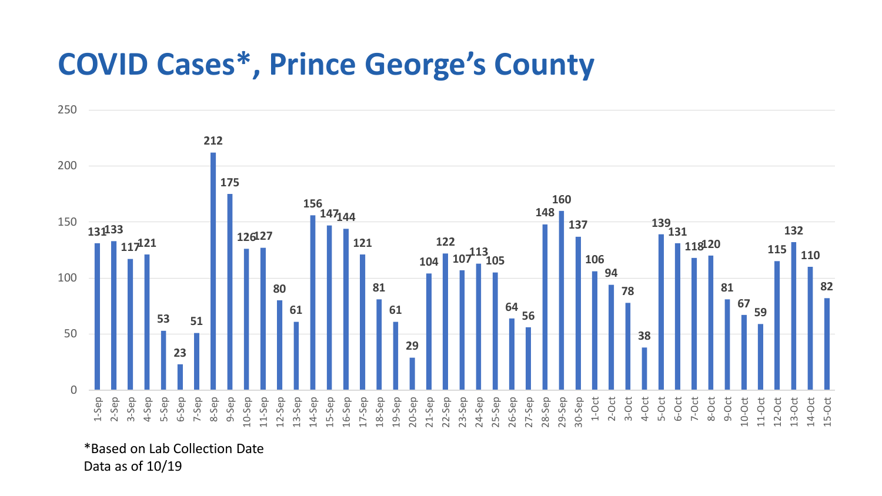## **COVID Cases\*, Prince George's County**



\*Based on Lab Collection Date Data as of 10/19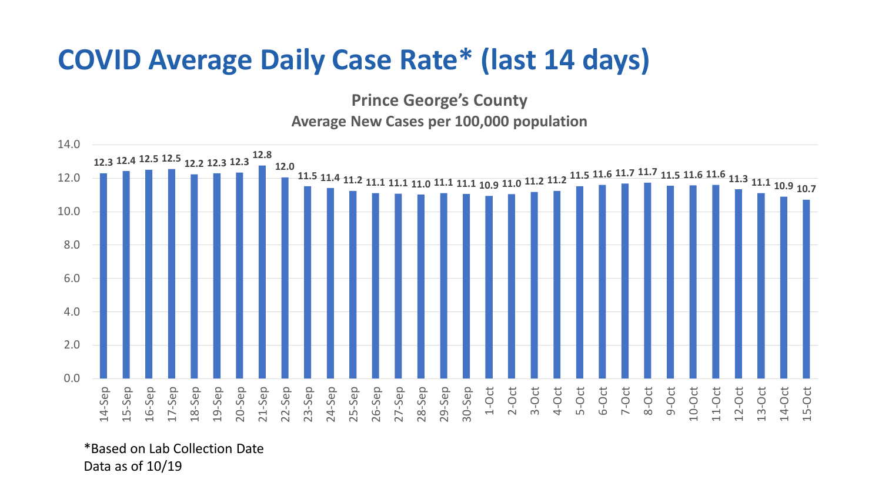## **COVID Average Daily Case Rate\* (last 14 days)**

**Prince George's County**

## **Average New Cases per 100,000 population**



\*Based on Lab Collection Date Data as of 10/19